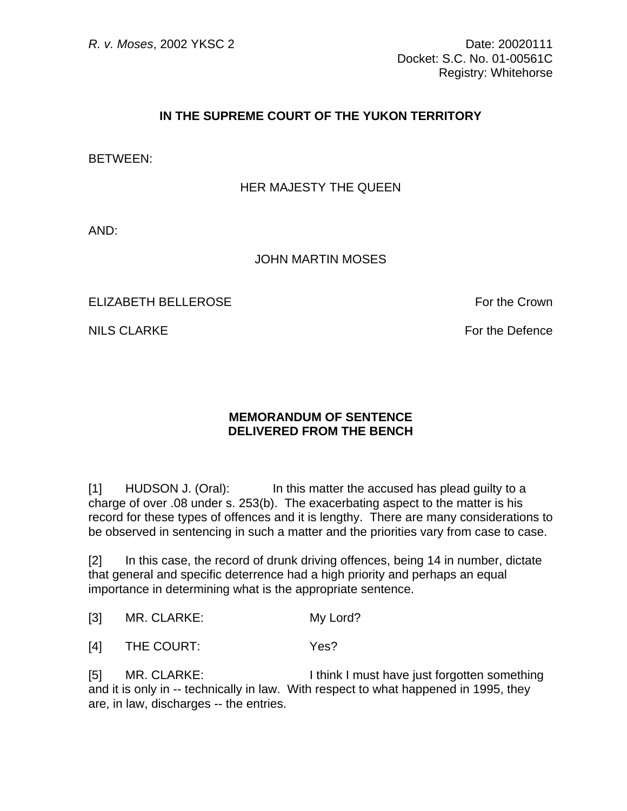## **IN THE SUPREME COURT OF THE YUKON TERRITORY**

BETWEEN:

## HER MAJESTY THE QUEEN

AND:

## JOHN MARTIN MOSES

ELIZABETH BELLEROSE FOR THE CROWN SERVICE SERVICE SERVICE SERVICE SERVICE SERVICE SERVICE SERVICE SERVICE SERVICE SERVICE SERVICE SERVICE SERVICE SERVICE SERVICE SERVICE SERVICE SERVICE SERVICE SERVICE SERVICE SERVICE SERV

NILS CLARKE For the Defence

## **MEMORANDUM OF SENTENCE DELIVERED FROM THE BENCH**

[1] HUDSON J. (Oral): In this matter the accused has plead guilty to a charge of over .08 under s. 253(b). The exacerbating aspect to the matter is his record for these types of offences and it is lengthy. There are many considerations to be observed in sentencing in such a matter and the priorities vary from case to case.

[2] In this case, the record of drunk driving offences, being 14 in number, dictate that general and specific deterrence had a high priority and perhaps an equal importance in determining what is the appropriate sentence.

[3] MR. CLARKE: My Lord?

[4] THE COURT: Yes?

[5] MR. CLARKE: I think I must have just forgotten something and it is only in -- technically in law. With respect to what happened in 1995, they are, in law, discharges -- the entries.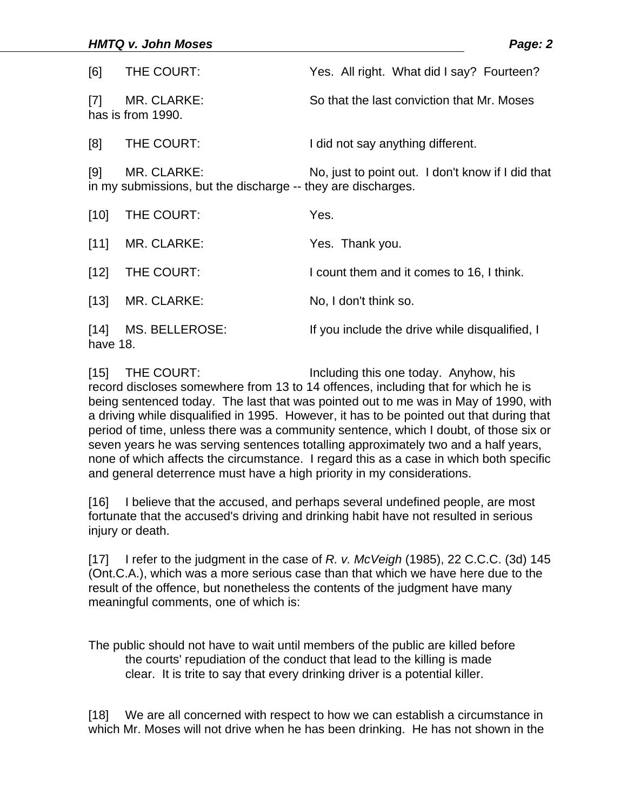| [6]                | THE COURT:                                                                  | Yes. All right. What did I say? Fourteen?         |
|--------------------|-----------------------------------------------------------------------------|---------------------------------------------------|
| $[7]$              | MR. CLARKE:<br>has is from 1990.                                            | So that the last conviction that Mr. Moses        |
| [8]                | THE COURT:                                                                  | I did not say anything different.                 |
| [9]                | MR. CLARKE:<br>in my submissions, but the discharge -- they are discharges. | No, just to point out. I don't know if I did that |
| $[10]$             | THE COURT:                                                                  | Yes.                                              |
| [11]               | MR. CLARKE:                                                                 | Yes. Thank you.                                   |
| $[12]$             | THE COURT:                                                                  | I count them and it comes to 16, I think.         |
| $[13]$             | MR. CLARKE:                                                                 | No, I don't think so.                             |
| $[14]$<br>have 18. | MS. BELLEROSE:                                                              | If you include the drive while disqualified, I    |

[15] THE COURT: Including this one today. Anyhow, his record discloses somewhere from 13 to 14 offences, including that for which he is being sentenced today. The last that was pointed out to me was in May of 1990, with a driving while disqualified in 1995. However, it has to be pointed out that during that period of time, unless there was a community sentence, which I doubt, of those six or seven years he was serving sentences totalling approximately two and a half years, none of which affects the circumstance. I regard this as a case in which both specific and general deterrence must have a high priority in my considerations.

[16] I believe that the accused, and perhaps several undefined people, are most fortunate that the accused's driving and drinking habit have not resulted in serious injury or death.

[17] I refer to the judgment in the case of *R. v. McVeigh* (1985), 22 C.C.C. (3d) 145 (Ont.C.A.), which was a more serious case than that which we have here due to the result of the offence, but nonetheless the contents of the judgment have many meaningful comments, one of which is:

The public should not have to wait until members of the public are killed before the courts' repudiation of the conduct that lead to the killing is made clear. It is trite to say that every drinking driver is a potential killer.

[18] We are all concerned with respect to how we can establish a circumstance in which Mr. Moses will not drive when he has been drinking. He has not shown in the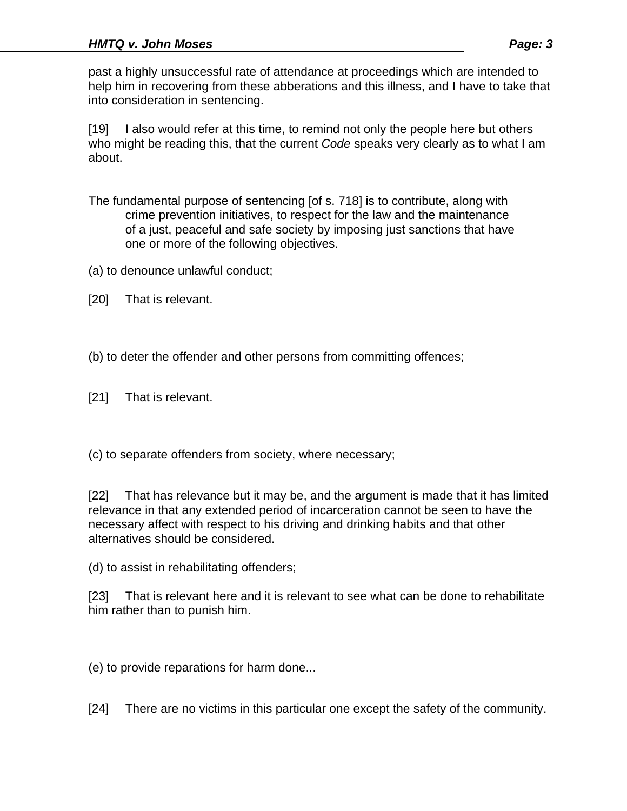past a highly unsuccessful rate of attendance at proceedings which are intended to help him in recovering from these abberations and this illness, and I have to take that into consideration in sentencing.

[19] I also would refer at this time, to remind not only the people here but others who might be reading this, that the current *Code* speaks very clearly as to what I am about.

- The fundamental purpose of sentencing [of s. 718] is to contribute, along with crime prevention initiatives, to respect for the law and the maintenance of a just, peaceful and safe society by imposing just sanctions that have one or more of the following objectives.
- (a) to denounce unlawful conduct;
- [20] That is relevant.
- (b) to deter the offender and other persons from committing offences;
- [21] That is relevant.

(c) to separate offenders from society, where necessary;

[22] That has relevance but it may be, and the argument is made that it has limited relevance in that any extended period of incarceration cannot be seen to have the necessary affect with respect to his driving and drinking habits and that other alternatives should be considered.

(d) to assist in rehabilitating offenders;

[23] That is relevant here and it is relevant to see what can be done to rehabilitate him rather than to punish him.

(e) to provide reparations for harm done...

[24] There are no victims in this particular one except the safety of the community.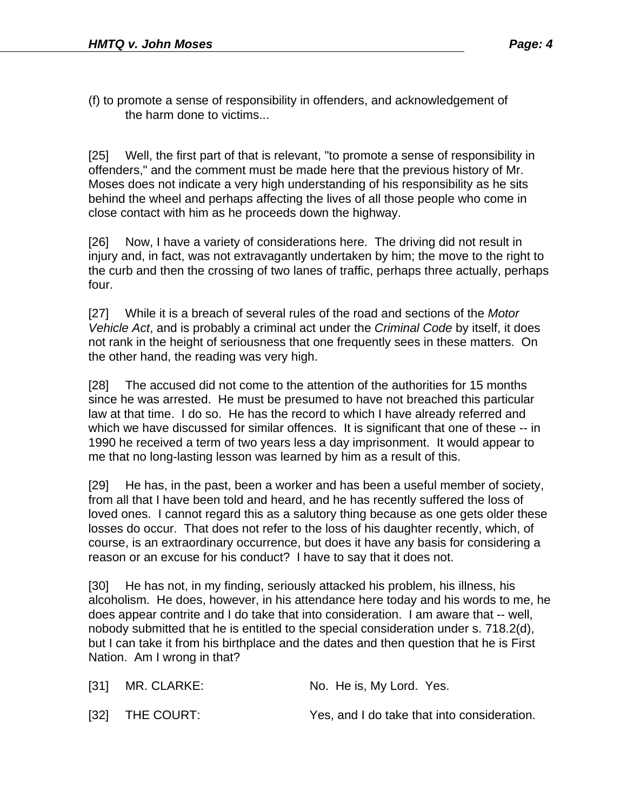(f) to promote a sense of responsibility in offenders, and acknowledgement of the harm done to victims...

[25] Well, the first part of that is relevant, "to promote a sense of responsibility in offenders," and the comment must be made here that the previous history of Mr. Moses does not indicate a very high understanding of his responsibility as he sits behind the wheel and perhaps affecting the lives of all those people who come in close contact with him as he proceeds down the highway.

[26] Now, I have a variety of considerations here. The driving did not result in injury and, in fact, was not extravagantly undertaken by him; the move to the right to the curb and then the crossing of two lanes of traffic, perhaps three actually, perhaps four.

[27] While it is a breach of several rules of the road and sections of the *Motor Vehicle Act*, and is probably a criminal act under the *Criminal Code* by itself, it does not rank in the height of seriousness that one frequently sees in these matters. On the other hand, the reading was very high.

[28] The accused did not come to the attention of the authorities for 15 months since he was arrested. He must be presumed to have not breached this particular law at that time. I do so. He has the record to which I have already referred and which we have discussed for similar offences. It is significant that one of these -- in 1990 he received a term of two years less a day imprisonment. It would appear to me that no long-lasting lesson was learned by him as a result of this.

[29] He has, in the past, been a worker and has been a useful member of society, from all that I have been told and heard, and he has recently suffered the loss of loved ones. I cannot regard this as a salutory thing because as one gets older these losses do occur. That does not refer to the loss of his daughter recently, which, of course, is an extraordinary occurrence, but does it have any basis for considering a reason or an excuse for his conduct? I have to say that it does not.

[30] He has not, in my finding, seriously attacked his problem, his illness, his alcoholism. He does, however, in his attendance here today and his words to me, he does appear contrite and I do take that into consideration. I am aware that -- well, nobody submitted that he is entitled to the special consideration under s. 718.2(d), but I can take it from his birthplace and the dates and then question that he is First Nation. Am I wrong in that?

| $[31]$ MR. CLARKE: | No. He is, My Lord. Yes.                    |
|--------------------|---------------------------------------------|
| [32] THE COURT:    | Yes, and I do take that into consideration. |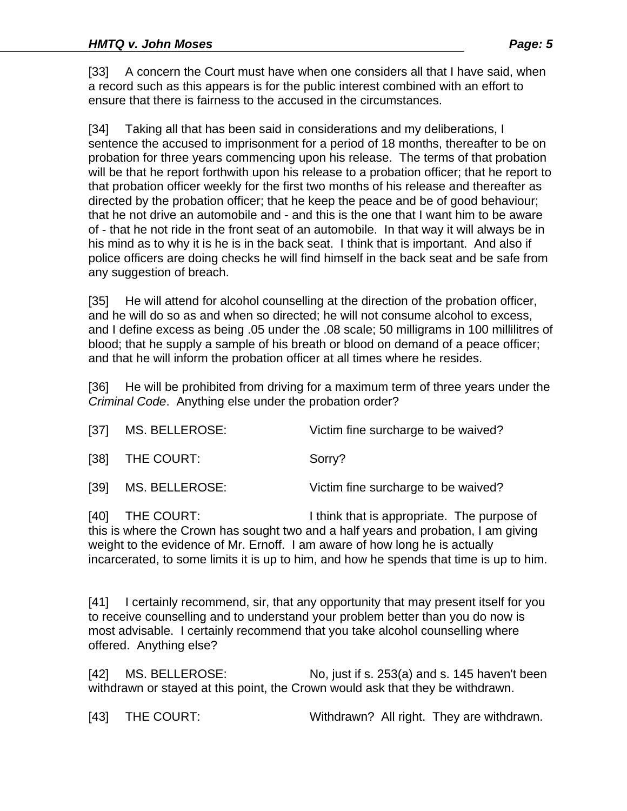[33] A concern the Court must have when one considers all that I have said, when a record such as this appears is for the public interest combined with an effort to ensure that there is fairness to the accused in the circumstances.

[34] Taking all that has been said in considerations and my deliberations, I sentence the accused to imprisonment for a period of 18 months, thereafter to be on probation for three years commencing upon his release. The terms of that probation will be that he report forthwith upon his release to a probation officer; that he report to that probation officer weekly for the first two months of his release and thereafter as directed by the probation officer; that he keep the peace and be of good behaviour; that he not drive an automobile and - and this is the one that I want him to be aware of - that he not ride in the front seat of an automobile. In that way it will always be in his mind as to why it is he is in the back seat. I think that is important. And also if police officers are doing checks he will find himself in the back seat and be safe from any suggestion of breach.

[35] He will attend for alcohol counselling at the direction of the probation officer, and he will do so as and when so directed; he will not consume alcohol to excess, and I define excess as being .05 under the .08 scale; 50 milligrams in 100 millilitres of blood; that he supply a sample of his breath or blood on demand of a peace officer; and that he will inform the probation officer at all times where he resides.

[36] He will be prohibited from driving for a maximum term of three years under the *Criminal Code*. Anything else under the probation order?

|      | [37] MS. BELLEROSE: | Victim fine surcharge to be waived? |
|------|---------------------|-------------------------------------|
|      | [38] THE COURT:     | Sorry?                              |
| [39] | MS. BELLEROSE:      | Victim fine surcharge to be waived? |

[40] THE COURT: I think that is appropriate. The purpose of this is where the Crown has sought two and a half years and probation, I am giving weight to the evidence of Mr. Ernoff. I am aware of how long he is actually incarcerated, to some limits it is up to him, and how he spends that time is up to him.

[41] I certainly recommend, sir, that any opportunity that may present itself for you to receive counselling and to understand your problem better than you do now is most advisable. I certainly recommend that you take alcohol counselling where offered. Anything else?

[42] MS. BELLEROSE: No, just if s. 253(a) and s. 145 haven't been withdrawn or stayed at this point, the Crown would ask that they be withdrawn.

[43] THE COURT: Withdrawn? All right. They are withdrawn.